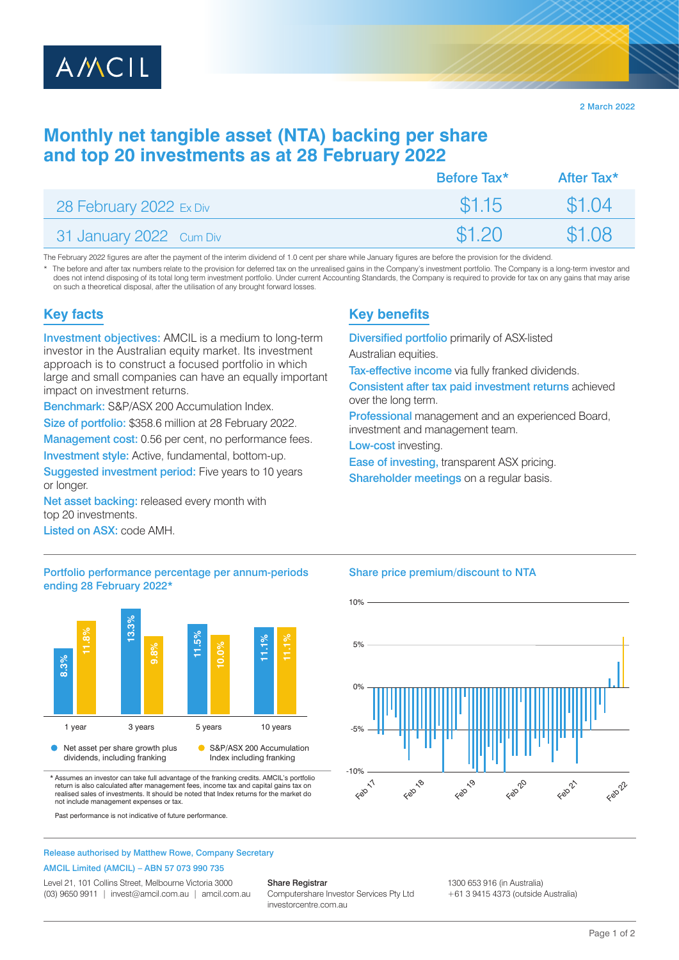

2 March 2022

# **Monthly net tangible asset (NTA) backing per share and top 20 investments as at 28 February 2022**

|                         | Before Tax <sup>*</sup> | After Tax* |
|-------------------------|-------------------------|------------|
| 28 February 2022 Ex Div | \$1.15                  | \$1.04     |
| 31 January 2022 Cum Div | \$1.20                  | \$1.08     |

The February 2022 figures are after the payment of the interim dividend of 1.0 cent per share while January figures are before the provision for the dividend

The before and after tax numbers relate to the provision for deferred tax on the unrealised gains in the Company's investment portfolio. The Company is a long-term investor and does not intend disposing of its total long term investment portfolio. Under current Accounting Standards, the Company is required to provide for tax on any gains that may arise on such a theoretical disposal, after the utilisation of any brought forward losses.

# **Key facts**

Investment objectives: AMCIL is a medium to long-term investor in the Australian equity market. Its investment approach is to construct a focused portfolio in which large and small companies can have an equally important impact on investment returns.

Benchmark: S&P/ASX 200 Accumulation Index.

Size of portfolio: \$358.6 million at 28 February 2022.

Management cost: 0.56 per cent, no performance fees. Investment style: Active, fundamental, bottom-up.

Suggested investment period: Five years to 10 years or longer.

Net asset backing: released every month with top 20 investments.

Listed on ASX: code AMH.

## Portfolio performance percentage per annum-periods ending 28 February 2022\*



\* Assumes an investor can take full advantage of the franking credits. AMCIL's portfolio return is also calculated after management fees, income tax and capital gains tax on realised sales of investments. It should be noted that Index returns for the market do not include management expenses or tax.

Past performance is not indicative of future performance.

### Release authorised by Matthew Rowe, Company Secretary

#### AMCIL Limited (AMCIL) – ABN 57 073 990 735

Level 21, 101 Collins Street, Melbourne Victoria 3000 (03) 9650 9911 | invest@amcil.com.au | amcil.com.au

#### Share Registrar

Computershare Investor Services Pty Ltd investorcentre.com.au

# **Key benefits**

Diversified portfolio primarily of ASX-listed

Australian equities.

Tax-effective income via fully franked dividends.

Consistent after tax paid investment returns achieved over the long term.

Professional management and an experienced Board, investment and management team.

Low-cost investing.

Ease of investing, transparent ASX pricing.

Shareholder meetings on a regular basis.

### Share price premium/discount to NTA



1300 653 916 (in Australia)

+61 3 9415 4373 (outside Australia)